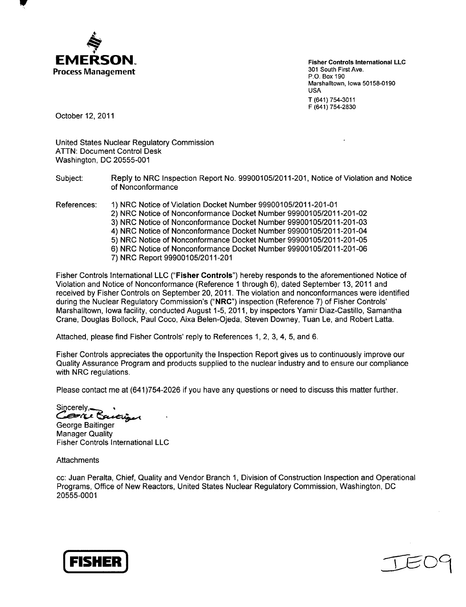

**W**

Fisher Controls International **LLC** 301 South First Ave. P.O. Box 190 Marshalltown, Iowa 50158-0190 USA T (641) 754-3011 F (641) 754-2830

October 12, 2011

United States Nuclear Regulatory Commission ATTN: Document Control Desk Washington, DC 20555-001

Subject: Reply to NRC Inspection Report No. 99900105/2011-201, Notice of Violation and Notice of Nonconformance

References: 1) NRC Notice of Violation Docket Number 99900105/2011-201-01 2) NRC Notice of Nonconformance Docket Number 99900105/2011-201-02 3) NRC Notice of Nonconformance Docket Number 99900105/2011-201-03 4) NRC Notice of Nonconformance Docket Number 99900105/2011-201-04 5) NRC Notice of Nonconformance Docket Number 99900105/2011-201-05 6) NRC Notice of Nonconformance Docket Number 99900105/2011-201-06 7) NRC Report 99900105/2011-201

Fisher Controls International LLC ("Fisher Controls") hereby responds to the aforementioned Notice of Violation and Notice of Nonconformance (Reference 1 through 6), dated September 13, 2011 and received by Fisher Controls on September 20, 2011. The violation and nonconformances were identified during the Nuclear Regulatory Commission's ("NRC") inspection (Reference 7) of Fisher Controls' Marshalltown, Iowa facility, conducted August 1-5, 2011, by inspectors Yamir Diaz-Castillo, Samantha Crane, Douglas Bollock, Paul Coco, Aixa Belen-Ojeda, Steven Downey, Tuan Le, and Robert Latta.

Attached, please find Fisher Controls' reply to References 1, 2, 3, 4, 5, and 6.

Fisher Controls appreciates the opportunity the Inspection Report gives us to continuously improve our Quality Assurance Program and products supplied to the nuclear industry and to ensure our compliance with NRC regulations.

Please contact me at (641)754-2026 if you have any questions or need to discuss this matter further.

Sincerely **Brie** 

George Baitinger Manager Quality Fisher Controls International LLC

**Attachments** 

cc: Juan Peralta, Chief, Quality and Vendor Branch 1, Division of Construction Inspection and Operational Programs, Office of New Reactors, United States Nuclear Regulatory Commission, Washington, DC 20555-0001



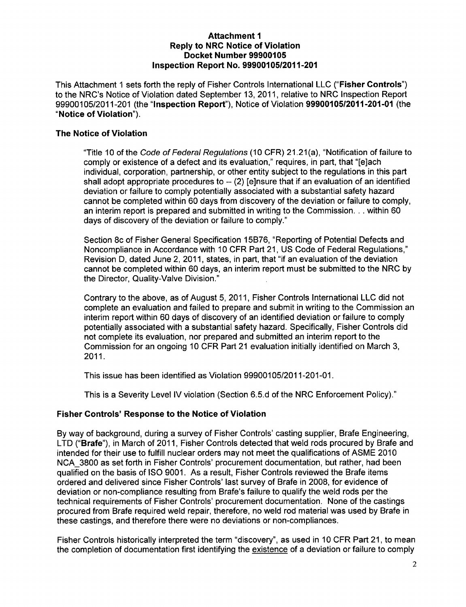#### Attachment **I** Reply to NRC Notice of Violation Docket Number **99900105** Inspection Report No. **99900105/2011-201**

This Attachment 1 sets forth the reply of Fisher Controls International **LLC** ("Fisher Controls") to the NRC's Notice of Violation dated September 13, 2011, relative to NRC Inspection Report 99900105/2011-201 (the "Inspection Report"), Notice of Violation 99900105/2011-201-01 (the "Notice of Violation").

## The Notice of Violation

"Title 10 of the *Code of Federal Regulations* (10 CFR) 21.21 (a), "Notification of failure to comply or existence of a defect and its evaluation," requires, in part, that "[e]ach individual, corporation, partnership, or other entity subject to the regulations in this part shall adopt appropriate procedures to  $-$  (2) [e]nsure that if an evaluation of an identified deviation or failure to comply potentially associated with a substantial safety hazard cannot be completed within 60 days from discovery of the deviation or failure to comply, an interim report is prepared and submitted in writing to the Commission... within 60 days of discovery of the deviation or failure to comply."

Section 8c of Fisher General Specification 15B76, "Reporting of Potential Defects and Noncompliance in Accordance with 10 CFR Part 21, US Code of Federal Regulations," Revision D, dated June 2, 2011, states, in part, that "if an evaluation of the deviation cannot be completed within 60 days, an interim report must be submitted to the NRC by the Director, Quality-Valve Division."

Contrary to the above, as of August 5, 2011, Fisher Controls International LLC did not complete an evaluation and failed to prepare and submit in writing to the Commission an interim report within 60 days of discovery of an identified deviation or failure to comply potentially associated with a substantial safety hazard. Specifically, Fisher Controls did not complete its evaluation, nor prepared and submitted an interim report to the Commission for an ongoing 10 CFR Part 21 evaluation initially identified on March 3, 2011.

This issue has been identified as Violation 99900105/2011-201-01.

This is a Severity Level IV violation (Section 6.5.d of the NRC Enforcement Policy)."

## Fisher Controls' Response to the Notice of Violation

By way of background, during a survey of Fisher Controls' casting supplier, Brafe Engineering, LTD ("Brafe"), in March of 2011, Fisher Controls detected that weld rods procured by Brafe and intended for their use to fulfill nuclear orders may not meet the qualifications of ASME 2010 NCA 3800 as set forth in Fisher Controls' procurement documentation, but rather, had been qualified on the basis of ISO 9001. As a result, Fisher Controls reviewed the Brafe items ordered and delivered since Fisher Controls' last survey of Brafe in 2008, for evidence of deviation or non-compliance resulting from Brafe's failure to qualify the weld rods per the technical requirements of Fisher Controls' procurement documentation. None of the castings procured from Brafe required weld repair, therefore, no weld rod material was used by Brafe in these castings, and therefore there were no deviations or non-compliances.

Fisher Controls historically interpreted the term "discovery", as used in 10 CFR Part 21, to mean the completion of documentation first identifying the existence of a deviation or failure to comply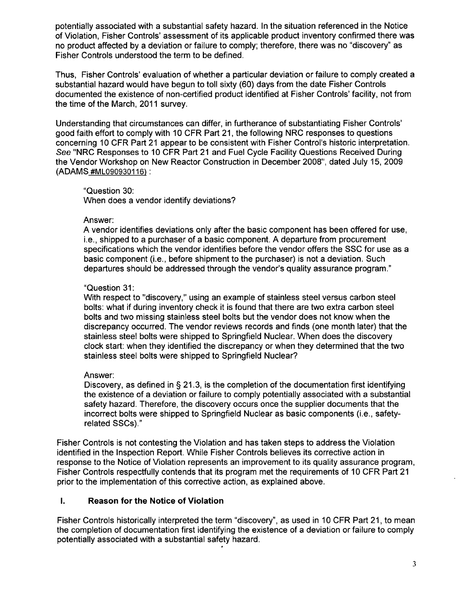potentially associated with a substantial safety hazard. In the situation referenced in the Notice of Violation, Fisher Controls' assessment of its applicable product inventory confirmed there was no product affected **by** a deviation or failure to comply; therefore, there was no "discovery" as Fisher Controls understood the term to be defined.

Thus, Fisher Controls' evaluation of whether a particular deviation or failure to comply created a substantial hazard would have begun to toll sixty **(60)** days from the date Fisher Controls documented the existence of non-certified product identified at Fisher Controls' facility, not from the time of the March, 2011 survey.

Understanding that circumstances can differ, in furtherance of substantiating Fisher Controls' good faith effort to comply with **10** CFR Part 21, the following NRC responses to questions concerning **10** CFR Part 21 appear to be consistent with Fisher Control's historic interpretation. See "NRC Responses to **10** CFR Part 21 and Fuel Cycle Facility Questions Received During the Vendor Workshop on New Reactor Construction in December **2008",** dated July **15, 2009 (ADAMS #ML090930116):**

"Question **30:** When does a vendor identify deviations?

#### Answer:

**A** vendor identifies deviations only after the basic component has been offered for use, i.e., shipped to a purchaser of a basic component. **A** departure from procurement specifications which the vendor identifies before the vendor offers the **SSC** for use as a basic component (i.e., before shipment to the purchaser) is not a deviation. Such departures should be addressed through the vendor's quality assurance program."

#### "Question **31:**

With respect to "discovery," using an example of stainless steel versus carbon steel bolts: what if during inventory check it is found that there are two extra carbon steel bolts and two missing stainless steel bolts but the vendor does not know when the discrepancy occurred. The vendor reviews records and finds (one month later) that the stainless steel bolts were shipped to Springfield Nuclear. When does the discovery clock start: when they identified the discrepancy or when they determined that the two stainless steel bolts were shipped to Springfield Nuclear?

## Answer:

Discovery, as defined in **§ 21.3,** is the completion of the documentation first identifying the existence of a deviation or failure to comply potentially associated with a substantial safety hazard. Therefore, the discovery occurs once the supplier documents that the incorrect bolts were shipped to Springfield Nuclear as basic components (i.e., safetyrelated SSCs)."

Fisher Controls is not contesting the Violation and has taken steps to address the Violation identified in the Inspection Report. While Fisher Controls believes its corrective action in response to the Notice of Violation represents an improvement to its quality assurance program, Fisher Controls respectfully contends that its program met the requirements of **10** CFR Part 21 prior to the implementation of this corrective action, as explained above.

## **1.** Reason for the Notice of Violation

Fisher Controls historically interpreted the term "discovery", as used in **10** CFR Part 21, to mean the completion of documentation first identifying the existence of a deviation or failure to comply potentially associated with a substantial safety hazard.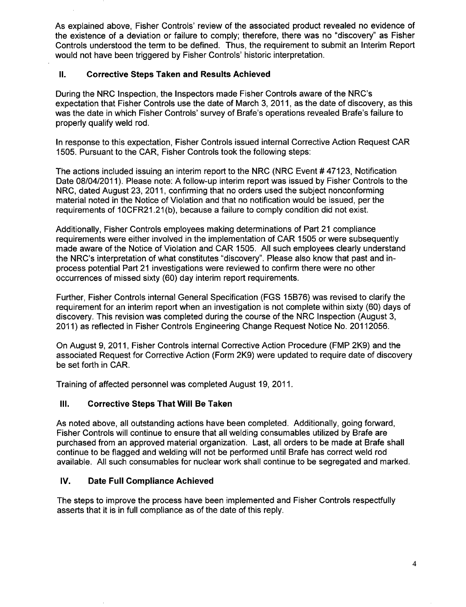As explained above, Fisher Controls' review of the associated product revealed no evidence of the existence of a deviation or failure to comply; therefore, there was no "discovery" as Fisher Controls understood the term to be defined. Thus, the requirement to submit an Interim Report would not have been triggered by Fisher Controls' historic interpretation.

## **II.** Corrective Steps Taken and Results Achieved

During the NRC Inspection, the Inspectors made Fisher Controls aware of the NRC's expectation that Fisher Controls use the date of March 3, 2011, as the date of discovery, as this was the date in which Fisher Controls' survey of Brafe's operations revealed Brafe's failure to properly qualify weld rod.

In response to this expectation, Fisher Controls issued internal Corrective Action Request CAR 1505. Pursuant to the CAR, Fisher Controls took the following steps:

The actions included issuing an interim report to the NRC (NRC Event # 47123, Notification Date 08/04/2011). Please note: A follow-up interim report was issued by Fisher Controls to the NRC, dated August 23, 2011, confirming that no orders used the subject nonconforming material noted in the Notice of Violation and that no notification would be issued, per the requirements of 10CFR21.21(b), because a failure to comply condition did not exist.

Additionally, Fisher Controls employees making determinations of Part 21 compliance requirements were either involved in the implementation of CAR 1505 or were subsequently made aware of the Notice of Violation and CAR 1505. All such employees clearly understand the NRC's interpretation of what constitutes "discovery". Please also know that past and inprocess potential Part 21 investigations were reviewed to confirm there were no other occurrences of missed sixty (60) day interim report requirements.

Further, Fisher Controls internal General Specification (FGS 15B76) was revised to clarify the requirement for an interim report when an investigation is not complete within sixty (60) days of discovery. This revision was completed during the course of the NRC Inspection (August 3, 2011) as reflected in Fisher Controls Engineering Change Request Notice No. 20112056.

On August 9, 2011, Fisher Controls internal Corrective Action Procedure (FMP 2K9) and the associated Request for Corrective Action (Form 2K9) were updated to require date of discovery be set forth in CAR.

Training of affected personnel was completed August 19, 2011.

## **Ill.** Corrective Steps That Will Be Taken

As noted above, all outstanding actions have been completed. Additionally, going forward, Fisher Controls will continue to ensure that all welding consumables utilized by Brafe are purchased from an approved material organization. Last, all orders to be made at Brafe shall continue to be flagged and welding will not be performed until Brafe has correct weld rod available. All such consumables for nuclear work shall continue to be segregated and marked.

## IV. Date Full Compliance Achieved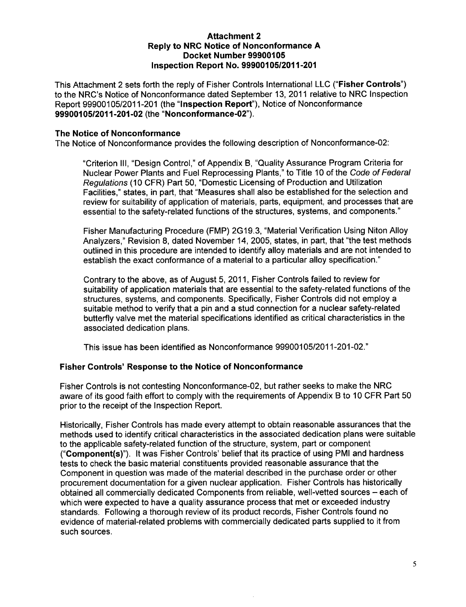### Attachment 2 Reply to NRC Notice of Nonconformance **A** Docket Number **99900105** Inspection Report **No. 99900105/2011-201**

This Attachment 2 sets forth the reply of Fisher Controls International **LLC** ("Fisher Controls") to the NRC's Notice of Nonconformance dated September 13, 2011 relative to NRC Inspection Report 99900105/2011-201 (the "Inspection Report"), Notice of Nonconformance 99900105/2011-201-02 (the "Nonconformance-02").

#### The Notice of Nonconformance

The Notice of Nonconformance provides the following description of Nonconformance-02:

"Criterion **III,** "Design Control," of Appendix B, "Quality Assurance Program Criteria for Nuclear Power Plants and Fuel Reprocessing Plants," to Title 10 of the *Code of Federal Regulations* (10 CFR) Part 50, "Domestic Licensing of Production and Utilization Facilities," states, in part, that "Measures shall also be established for the selection and review for suitability of application of materials, parts, equipment, and processes that are essential to the safety-related functions of the structures, systems, and components."

Fisher Manufacturing Procedure (FMP) 2G19.3, "Material Verification Using Niton Alloy Analyzers," Revision 8, dated November 14, 2005, states, in part, that "the test methods outlined in this procedure are intended to identify alloy materials and are not intended to establish the exact conformance of a material to a particular alloy specification."

Contrary to the above, as of August 5, 2011, Fisher Controls failed to review for suitability of application materials that are essential to the safety-related functions of the structures, systems, and components. Specifically, Fisher Controls did not employ a suitable method to verify that a pin and a stud connection for a nuclear safety-related butterfly valve met the material specifications identified as critical characteristics in the associated dedication plans.

This issue has been identified as Nonconformance 99900105/2011-201-02."

## Fisher Controls' Response to the Notice of Nonconformance

Fisher Controls is not contesting Nonconformance-02, but rather seeks to make the NRC aware of its good faith effort to comply with the requirements of Appendix B to 10 CFR Part 50 prior to the receipt of the Inspection Report.

Historically, Fisher Controls has made every attempt to obtain reasonable assurances that the methods used to identify critical characteristics in the associated dedication plans were suitable to the applicable safety-related function of the structure, system, part or component ("Component(s)"). It was Fisher Controls' belief that its practice of using PMI and hardness tests to check the basic material constituents provided reasonable assurance that the Component in question was made of the material described in the purchase order or other procurement documentation for a given nuclear application. Fisher Controls has historically obtained all commercially dedicated Components from reliable, well-vetted sources - each of which were expected to have a quality assurance process that met or exceeded industry standards. Following a thorough review of its product records, Fisher Controls found no evidence of material-related problems with commercially dedicated parts supplied to it from such sources.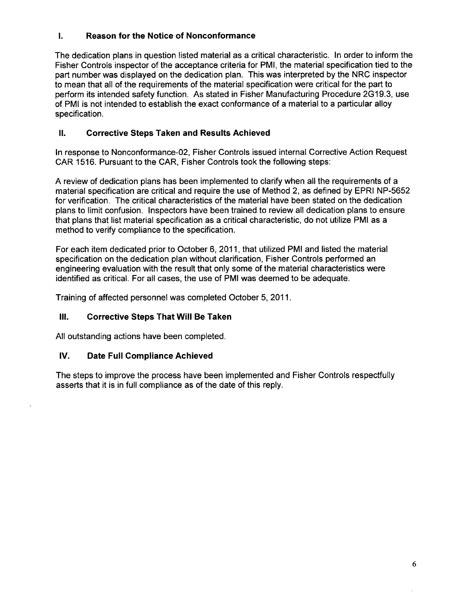## **1.** Reason for the Notice of Nonconformance

The dedication plans in question listed material as a critical characteristic. In order to inform the Fisher Controls inspector of the acceptance criteria for PMI, the material specification tied to the part number was displayed on the dedication plan. This was interpreted **by** the NRC inspector to mean that all of the requirements of the material specification were critical for the part to perform its intended safety function. As stated in Fisher Manufacturing Procedure **2G 19.3,** use of PMI is not intended to establish the exact conformance of a material to a particular alloy specification.

## **II.** Corrective Steps Taken and Results Achieved

In response to Nonconformance-02, Fisher Controls issued internal Corrective Action Request CAR **1516.** Pursuant to the CAR, Fisher Controls took the following steps:

**A** review of dedication plans has been implemented to clarify when all the requirements of a material specification are critical and require the use of Method 2, as defined **by** EPRI **NP-5652** for verification. The critical characteristics of the material have been stated on the dedication plans to limit confusion. Inspectors have been trained to review all dedication plans to ensure that plans that list material specification as a critical characteristic, do not utilize PMI as a method to verify compliance to the specification.

For each item dedicated prior to October **6, 2011,** that utilized PMI and listed the material specification on the dedication plan without clarification, Fisher Controls performed an engineering evaluation with the result that only some of the material characteristics were identified as critical. For all cases, the use of PMI was deemed to be adequate.

Training of affected personnel was completed October **5, 2011.**

## **Ill.** Corrective Steps That Will Be Taken

**All** outstanding actions have been completed.

## IV. Date Full Compliance Achieved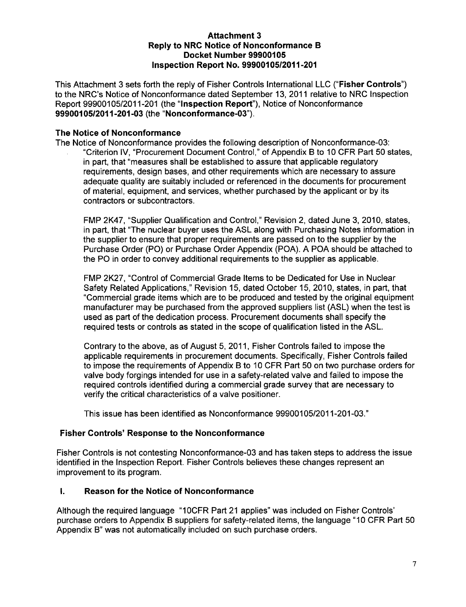### Attachment **3** Reply to NRC Notice of Nonconformance B Docket Number **99900105** Inspection Report No. **9990010512011-201**

This Attachment 3 sets forth the reply of Fisher Controls International LLC ("Fisher Controls") to the NRC's Notice of Nonconformance dated September 13, 2011 relative to NRC Inspection Report 99900105/2011-201 (the "Inspection Report"), Notice of Nonconformance 99900105/2011-201-03 (the "Nonconformance-03").

## The Notice of Nonconformance

The Notice of Nonconformance provides the following description of Nonconformance-03: "Criterion IV, "Procurement Document Control," of Appendix B to 10 CFR Part 50 states, in part, that "measures shall be established to assure that applicable regulatory requirements, design bases, and other requirements which are necessary to assure adequate quality are suitably included or referenced in the documents for procurement of material, equipment, and services, whether purchased by the applicant or by its contractors or subcontractors.

FMP 2K47, "Supplier Qualification and Control," Revision 2, dated June 3, 2010, states, in part, that "The nuclear buyer uses the ASL along with Purchasing Notes information in the supplier to ensure that proper requirements are passed on to the supplier by the Purchase Order (PO) or Purchase Order Appendix (POA). A POA should be attached to the PO in order to convey additional requirements to the supplier as applicable.

FMP 2K27, "Control of Commercial Grade Items to be Dedicated for Use in Nuclear Safety Related Applications," Revision 15, dated October 15, 2010, states, in part, that "Commercial grade items which are to be produced and tested by the original equipment manufacturer may be purchased from the approved suppliers list (ASL) when the testis used as part of the dedication process. Procurement documents shall specify the required tests or controls as stated in the scope of qualification listed in the ASL.

Contrary to the above, as of August 5, 2011, Fisher Controls failed to impose the applicable requirements in procurement documents. Specifically, Fisher Controls failed to impose the requirements of Appendix B to 10 CFR Part 50 on two purchase orders for valve body forgings intended for use in a safety-related valve and failed to impose the required controls identified during a commercial grade survey that are necessary to verify the critical characteristics of a valve positioner.

This issue has been identified as Nonconformance 99900105/2011-201-03."

## Fisher Controls' Response to the Nonconformance

Fisher Controls is not contesting Nonconformance-03 and has taken steps to address the issue identified in the Inspection Report. Fisher Controls believes these changes represent an improvement to its program.

### **I.** Reason for the Notice of Nonconformance

Although the required language "10CFR Part 21 applies" was included on Fisher Controls' purchase orders to Appendix B suppliers for safety-related items, the language "10 CFR Part 50 Appendix B" was not automatically included on such purchase orders.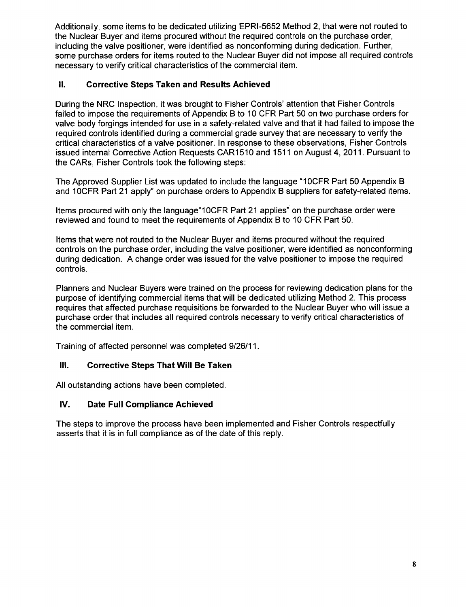Additionally, some items to be dedicated utilizing EPRI-5652 Method 2, that were not routed to the Nuclear Buyer and items procured without the required controls on the purchase order, including the valve positioner, were identified as nonconforming during dedication. Further, some purchase orders for items routed to the Nuclear Buyer did not impose all required controls necessary to verify critical characteristics of the commercial item.

# **II.** Corrective Steps Taken and Results Achieved

During the NRC Inspection, it was brought to Fisher Controls' attention that Fisher Controls failed to impose the requirements of Appendix B to 10 CFR Part 50 on two purchase orders for valve body forgings intended for use in a safety-related valve and that it had failed to impose the required controls identified during a commercial grade survey that are necessary to verify the critical characteristics of a valve positioner. In response to these observations, Fisher Controls issued internal Corrective Action Requests CAR1510 and 1511 on August 4, 2011. Pursuant to the CARs, Fisher Controls took the following steps:

The Approved Supplier List was updated to include the language "1OCFR Part 50 Appendix B and 10CFR Part 21 apply" on purchase orders to Appendix B suppliers for safety-related items.

Items procured with only the language"1 OCFR Part 21 applies" on the purchase order were reviewed and found to meet the requirements of Appendix B to 10 CFR Part 50.

Items that were not routed to the Nuclear Buyer and items procured without the required controls on the purchase order, including the valve positioner, were identified as nonconforming during dedication. A change order was issued for the valve positioner to impose the required controls.

Planners and Nuclear Buyers were trained on the process for reviewing dedication plans for the purpose of identifying commercial items that will be dedicated utilizing Method 2. This process requires that affected purchase requisitions be forwarded to the Nuclear Buyer who will issue a purchase order that includes all required controls necessary to verify critical characteristics of the commercial item.

Training of affected personnel was completed 9/26/11.

# **Ill.** Corrective Steps That Will Be Taken

All outstanding actions have been completed.

# IV. Date Full Compliance Achieved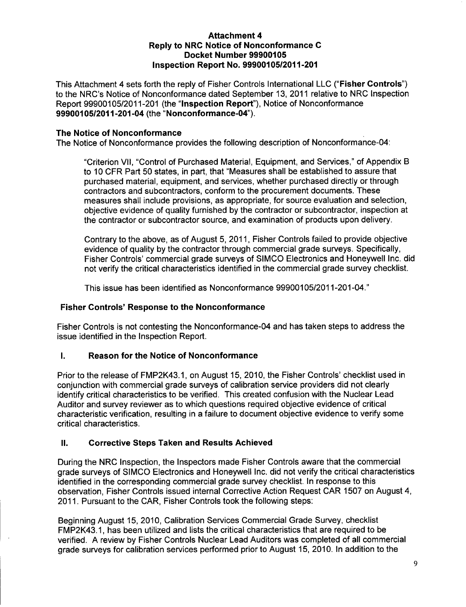### Attachment 4 Reply to NRC Notice of Nonconformance **C** Docket Number **99900105** Inspection Report No. **99900105/2011-201**

This Attachment 4 sets forth the reply of Fisher Controls International LLC ("Fisher Controls") to the NRC's Notice of Nonconformance dated September 13, 2011 relative to NRC Inspection Report 99900105/2011-201 (the "Inspection Report"), Notice of Nonconformance 99900105/2011-201-04 (the "Nonconformance-04").

## The Notice of Nonconformance

The Notice of Nonconformance provides the following description of Nonconformance-04:

"Criterion VII, "Control of Purchased Material, Equipment, and Services," of Appendix B to 10 CFR Part 50 states, in part, that "Measures shall be established to assure that purchased material, equipment, and services, whether purchased directly or through contractors and subcontractors, conform to the procurement documents. These measures shall include provisions, as appropriate, for source evaluation and selection, objective evidence of quality furnished by the contractor or subcontractor, inspection at the contractor or subcontractor source, and examination of products upon delivery.

Contrary to the above, as of August 5, 2011, Fisher Controls failed to provide objective evidence of quality by the contractor through commercial grade surveys. Specifically, Fisher Controls' commercial grade surveys of SIMCO Electronics and Honeywell Inc. did not verify the critical characteristics identified in the commercial grade survey checklist.

This issue has been identified as Nonconformance 99900105/2011-201-04."

## Fisher Controls' Response to the Nonconformance

Fisher Controls is not contesting the Nonconformance-04 and has taken steps to address the issue identified in the Inspection Report.

## **1.** Reason for the Notice of Nonconformance

Prior to the release of FMP2K43.1, on August 15, 2010, the Fisher Controls' checklist used in conjunction with commercial grade surveys of calibration service providers did not clearly identify critical characteristics to be verified. This created confusion with the Nuclear Lead Auditor and survey reviewer as to which questions required objective evidence of critical characteristic verification, resulting in a failure to document objective evidence to verify some critical characteristics.

## **II.** Corrective Steps Taken and Results Achieved

During the NRC Inspection, the Inspectors made Fisher Controls aware that the commercial grade surveys of SIMCO Electronics and Honeywell Inc. did not verify the critical characteristics identified in the corresponding commercial grade survey checklist. In response to this observation, Fisher Controls issued internal Corrective Action Request CAR 1507 on August 4, 2011. Pursuant to the CAR, Fisher Controls took the following steps:

Beginning August 15, 2010, Calibration Services Commercial Grade Survey, checklist FMP2K43.1, has been utilized and lists the critical characteristics that are required to be verified. A review by Fisher Controls Nuclear Lead Auditors was completed of all commercial grade surveys for calibration services performed prior to August 15, 2010. In addition to the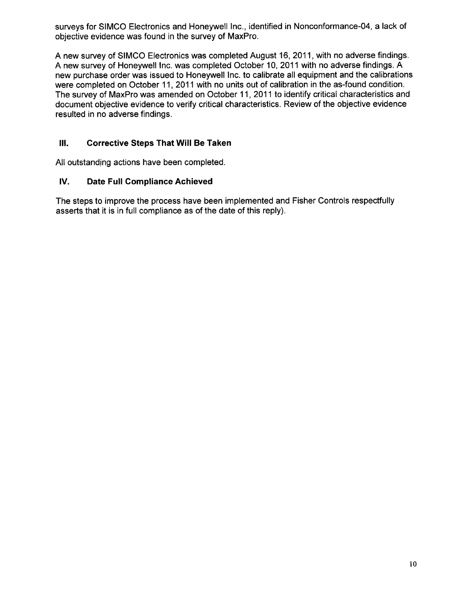surveys for SIMCO Electronics and Honeywell Inc., identified in Nonconformance-04, a lack of objective evidence was found in the survey of MaxPro.

A new survey of SIMCO Electronics was completed August 16, 2011, with no adverse findings. A new survey of Honeywell Inc. was completed October 10, 2011 with no adverse findings. A new purchase order was issued to Honeywell Inc. to calibrate all equipment and the calibrations were completed on October 11, 2011 with no units out of calibration in the as-found condition. The survey of MaxPro was amended on October 11, 2011 to identify critical characteristics and document objective evidence to verify critical characteristics. Review of the objective evidence resulted in no adverse findings.

# **Ill.** Corrective Steps That Will Be Taken

All outstanding actions have been completed.

## **IV.** Date Full Compliance Achieved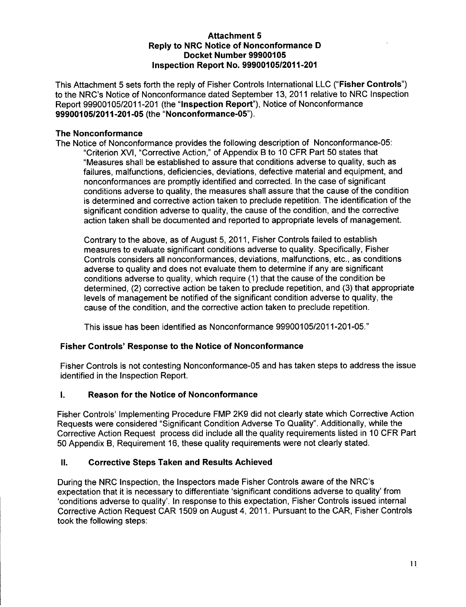### Attachment **5** Reply to NRC Notice of Nonconformance **D** Docket Number **99900105** Inspection Report No. **99900105/2011-201**

This Attachment 5 sets forth the reply of Fisher Controls International **LLC** ("Fisher Controls") to the NRC's Notice of Nonconformance dated September 13, 2011 relative to NRC Inspection Report 99900105/2011-201 (the "Inspection Report"), Notice of Nonconformance 99900105/2011-201-05 (the "Nonconformance-05").

### The Nonconformance

The Notice of Nonconformance provides the following description of Nonconformance-05: "Criterion XVI, "Corrective Action," of Appendix B to 10 CFR Part 50 states that "Measures shall be established to assure that conditions adverse to quality, such as failures, malfunctions, deficiencies, deviations, defective material and equipment, and nonconformances are promptly identified and corrected. In the case of significant conditions adverse to quality, the measures shall assure that the cause of the condition is determined and corrective action taken to preclude repetition. The identification of the significant condition adverse to quality, the cause of the condition, and the corrective action taken shall be documented and reported to appropriate levels of management.

Contrary to the above, as of August 5, 2011, Fisher Controls failed to establish measures to evaluate significant conditions adverse to quality. Specifically, Fisher Controls considers all nonconformances, deviations, malfunctions, etc., as conditions adverse to quality and does not evaluate them to determine if any are significant conditions adverse to quality, which require (1) that the cause of the condition be determined, (2) corrective action be taken to preclude repetition, and (3) that appropriate levels of management be notified of the significant condition adverse to quality, the cause of the condition, and the corrective action taken to preclude repetition.

This issue has been identified as Nonconformance 99900105/2011-201-05."

## Fisher Controls' Response to the Notice of Nonconformance

Fisher Controls is not contesting Nonconformance-05 and has taken steps to address the issue identified in the Inspection Report.

# **1.** Reason for the Notice of Nonconformance

Fisher Controls' Implementing Procedure FMP 2K9 did not clearly state which Corrective Action Requests were considered "Significant Condition Adverse To Quality". Additionally, while the Corrective Action Request process did include all the quality requirements listed in 10 CFR Part 50 Appendix B, Requirement 16, these quality requirements were not clearly stated.

## **II.** Corrective Steps Taken and Results Achieved

During the NRC Inspection, the Inspectors made Fisher Controls aware of the NRC's expectation that it is necessary to differentiate 'significant conditions adverse to quality' from 'conditions adverse to quality'. In response to this expectation, Fisher Controls issued internal Corrective Action Request CAR 1509 on August 4, 2011. Pursuant to the CAR, Fisher Controls took the following steps: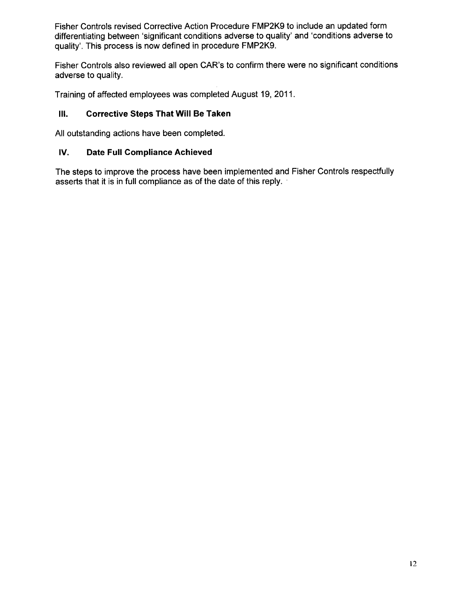Fisher Controls revised Corrective Action Procedure FMP2K9 to include an updated form differentiating between 'significant conditions adverse to quality' and 'conditions adverse to quality'. This process is now defined in procedure FMP2K9.

Fisher Controls also reviewed all open CAR's to confirm there were no significant conditions adverse to quality.

Training of affected employees was completed August 19, 2011.

### **Ill.** Corrective Steps That Will Be Taken

All outstanding actions have been completed.

#### **IV.** Date Full Compliance Achieved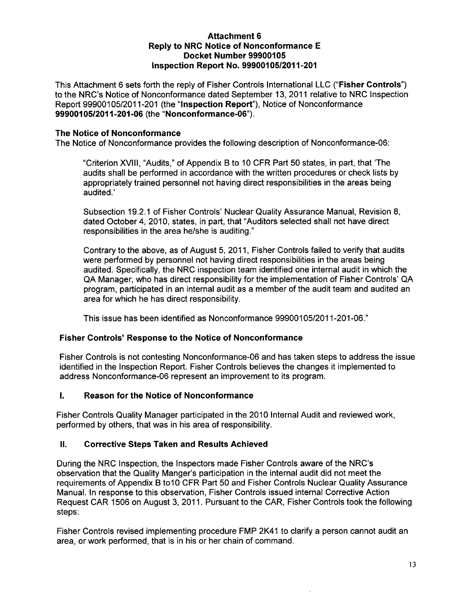### Attachment **6** Reply to NRC Notice of Nonconformance **E** Docket Number **99900105** Inspection Report No. **99900105/2011-201**

This Attachment 6 sets forth the reply of Fisher Controls International LLC ("Fisher Controls") to the NRC's Notice of Nonconformance dated September 13, 2011 relative to NRC Inspection Report 99900105/2011-201 (the "Inspection Report"), Notice of Nonconformance 99900105/2011-201-06 (the "Nonconformance-06").

### The Notice of Nonconformance

The Notice of Nonconformance provides the following description of Nonconformance-06:

"Criterion XVIII, "Audits," of Appendix B to 10 CFR Part 50 states, in part, that 'The audits shall be performed in accordance with the written procedures or check lists by appropriately trained personnel not having direct responsibilities in the areas being audited.'

Subsection 19.2.1 of Fisher Controls' Nuclear Quality Assurance Manual, Revision 8, dated October 4, 2010, states, in part, that "Auditors selected shall not have direct responsibilities in the area he/she is auditing."

Contrary to the above, as of August 5, 2011, Fisher Controls failed to verify that audits were performed by personnel not having direct responsibilities in the areas being audited. Specifically, the NRC inspection team identified one internal audit in which the QA Manager, who has direct responsibility for the implementation of Fisher Controls' QA program, participated in an internal audit as a member of the audit team and audited an area for which he has direct responsibility.

This issue has been identified as Nonconformance 99900105/2011-201-06."

## Fisher Controls' Response to the Notice of Nonconformance

Fisher Controls is not contesting Nonconformance-06 and has taken steps to address the issue identified in the Inspection Report. Fisher Controls believes the changes it implemented to address Nonconformance-06 represent an improvement to its program.

## **I.** Reason for the Notice of Nonconformance

Fisher Controls Quality Manager participated in the 2010 Internal Audit and reviewed work, performed by others, that was in his area of responsibility.

#### **I1.** Corrective Steps Taken and Results Achieved

During the NRC Inspection, the Inspectors made Fisher Controls aware of the NRC's observation that the Quality Manger's participation in the internal audit did not meet the requirements of Appendix B to10 CFR Part 50 and Fisher Controls Nuclear Quality Assurance Manual. In response to this observation, Fisher Controls issued internal Corrective Action Request CAR 1506 on August 3, 2011. Pursuant to the CAR, Fisher Controls took the following steps:

Fisher Controls revised implementing procedure FMP 2K41 to clarify a person cannot audit an area, or work performed, that is in his or her chain of command.